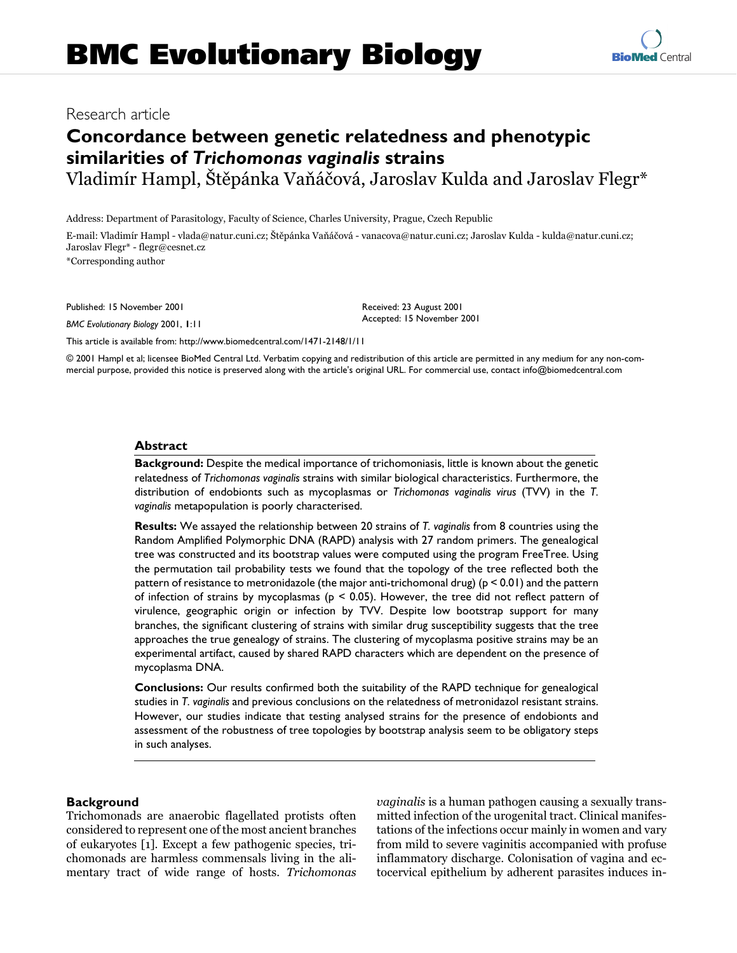# Besearch article

# **Concordance between genetic relatedness and phenotypic similarities of** *Trichomonas vaginalis* **strains** Vladimír Hampl, Štěpánka Vaňáčová, Jaroslav Kulda and Jaroslav Flegr\*

Address: Department of Parasitology, Faculty of Science, Charles University, Prague, Czech Republic

E-mail: Vladimír Hampl - vlada@natur.cuni.cz; ŠtЕpánka Vaňáčová - vanacova@natur.cuni.cz; Jaroslav Kulda - kulda@natur.cuni.cz; Jaroslav Flegr\* - flegr@cesnet.cz

\*Corresponding author

Published: 15 November 2001

*BMC Evolutionary Biology* 2001, **1**:11

Accepted: 15 November 2001

Received: 23 August 2001

[This article is available from: http://www.biomedcentral.com/1471-2148/1/11](http://www.biomedcentral.com/1471-2148/1/11)

© 2001 Hampl et al; licensee BioMed Central Ltd. Verbatim copying and redistribution of this article are permitted in any medium for any non-commercial purpose, provided this notice is preserved along with the article's original URL. For commercial use, contact info@biomedcentral.com

## **Abstract**

**Background:** Despite the medical importance of trichomoniasis, little is known about the genetic relatedness of *Trichomonas vaginalis* strains with similar biological characteristics. Furthermore, the distribution of endobionts such as mycoplasmas or *Trichomonas vaginalis virus* (TVV) in the *T. vaginalis* metapopulation is poorly characterised.

**Results:** We assayed the relationship between 20 strains of *T. vaginalis* from 8 countries using the Random Amplified Polymorphic DNA (RAPD) analysis with 27 random primers. The genealogical tree was constructed and its bootstrap values were computed using the program FreeTree. Using the permutation tail probability tests we found that the topology of the tree reflected both the pattern of resistance to metronidazole (the major anti-trichomonal drug) (p < 0.01) and the pattern of infection of strains by mycoplasmas ( $p < 0.05$ ). However, the tree did not reflect pattern of virulence, geographic origin or infection by TVV. Despite low bootstrap support for many branches, the significant clustering of strains with similar drug susceptibility suggests that the tree approaches the true genealogy of strains. The clustering of mycoplasma positive strains may be an experimental artifact, caused by shared RAPD characters which are dependent on the presence of mycoplasma DNA.

**Conclusions:** Our results confirmed both the suitability of the RAPD technique for genealogical studies in *T. vaginalis* and previous conclusions on the relatedness of metronidazol resistant strains. However, our studies indicate that testing analysed strains for the presence of endobionts and assessment of the robustness of tree topologies by bootstrap analysis seem to be obligatory steps in such analyses.

# **Background**

Trichomonads are anaerobic flagellated protists often considered to represent one of the most ancient branches of eukaryotes [[1](#page-8-0)]. Except a few pathogenic species, trichomonads are harmless commensals living in the alimentary tract of wide range of hosts. Trichomonas vaginalis is a human pathogen causing a sexually transmitted infection of the urogenital tract. Clinical manifestations of the infections occur mainly in women and vary from mild to severe vaginitis accompanied with profuse inflammatory discharge. Colonisation of vagina and ectocervical epithelium by adherent parasites induces in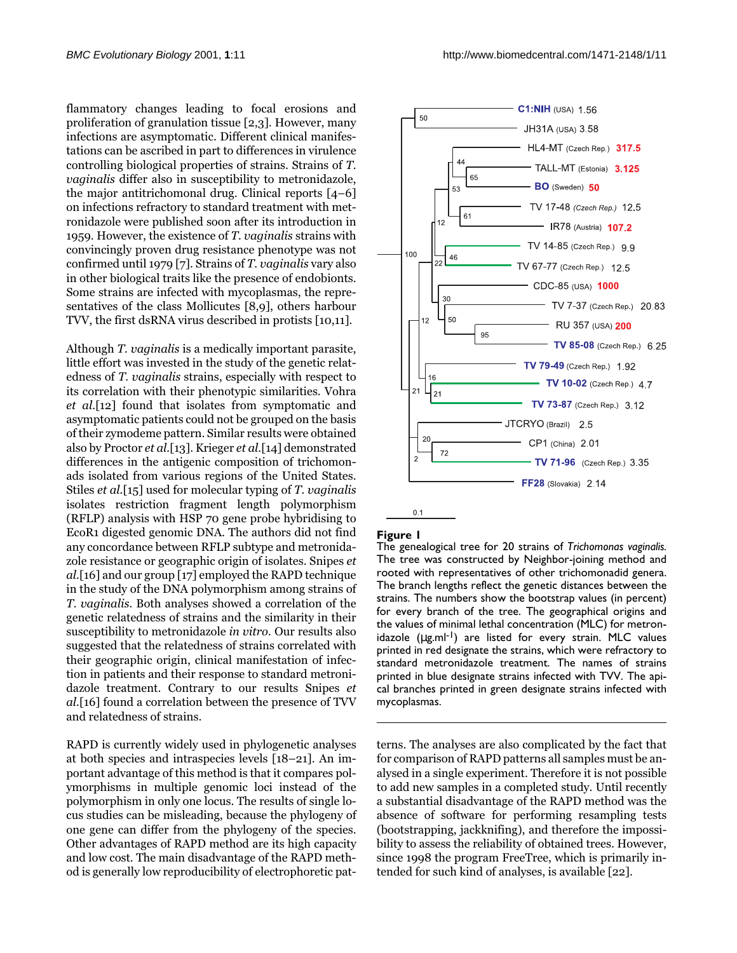flammatory changes leading to focal erosions and proliferation of granulation tissue [\[2,](#page-8-1)[3\]](#page-8-2). However, many infections are asymptomatic. Different clinical manifestations can be ascribed in part to differences in virulence controlling biological properties of strains. Strains of T. vaginalis differ also in susceptibility to metronidazole, the major antitrichomonal drug. Clinical reports [\[4–](#page-8-3)[6](#page-8-4)] on infections refractory to standard treatment with metronidazole were published soon after its introduction in 1959. However, the existence of T. vaginalis strains with convincingly proven drug resistance phenotype was not confirmed until 1979 [\[7](#page-8-5)]. Strains of T. vaginalis vary also in other biological traits like the presence of endobionts. Some strains are infected with mycoplasmas, the representatives of the class Mollicutes [[8,](#page-8-6)[9\]](#page-8-7), others harbour TVV, the first dsRNA virus described in protists [[10,](#page-8-8)[11\]](#page-8-9).

Although T. vaginalis is a medically important parasite, little effort was invested in the study of the genetic relatedness of T. vaginalis strains, especially with respect to its correlation with their phenotypic similarities. Vohra et al.[\[12\]](#page-8-10) found that isolates from symptomatic and asymptomatic patients could not be grouped on the basis of their zymodeme pattern. Similar results were obtained also by Proctor et al.[[13](#page-8-11)]. Krieger et al.[[14\]](#page-8-12) demonstrated differences in the antigenic composition of trichomonads isolated from various regions of the United States. Stiles et al.[[15](#page-8-13)] used for molecular typing of T. vaginalis isolates restriction fragment length polymorphism (RFLP) analysis with HSP 70 gene probe hybridising to EcoR1 digested genomic DNA. The authors did not find any concordance between RFLP subtype and metronidazole resistance or geographic origin of isolates. Snipes et al.[[16](#page-8-14)] and our group [[17\]](#page-8-15) employed the RAPD technique in the study of the DNA polymorphism among strains of T. vaginalis. Both analyses showed a correlation of the genetic relatedness of strains and the similarity in their susceptibility to metronidazole in vitro. Our results also suggested that the relatedness of strains correlated with their geographic origin, clinical manifestation of infection in patients and their response to standard metronidazole treatment. Contrary to our results Snipes et al.[[16](#page-8-14)] found a correlation between the presence of TVV and relatedness of strains.

RAPD is currently widely used in phylogenetic analyses at both species and intraspecies levels [[18](#page-8-16)–[21](#page-8-17)]. An important advantage of this method is that it compares polymorphisms in multiple genomic loci instead of the polymorphism in only one locus. The results of single locus studies can be misleading, because the phylogeny of one gene can differ from the phylogeny of the species. Other advantages of RAPD method are its high capacity and low cost. The main disadvantage of the RAPD method is generally low reproducibility of electrophoretic pat-



#### <span id="page-1-0"></span>**Figure 1**

The genealogical tree for 20 strains of *Trichomonas vaginalis.* The tree was constructed by Neighbor-joining method and rooted with representatives of other trichomonadid genera. The branch lengths reflect the genetic distances between the strains. The numbers show the bootstrap values (in percent) for every branch of the tree. The geographical origins and the values of minimal lethal concentration (MLC) for metronidazole  $(\mu g.mI^{-1})$  are listed for every strain. MLC values printed in red designate the strains, which were refractory to standard metronidazole treatment. The names of strains printed in blue designate strains infected with TVV. The apical branches printed in green designate strains infected with mycoplasmas.

terns. The analyses are also complicated by the fact that for comparison of RAPD patterns all samples must be analysed in a single experiment. Therefore it is not possible to add new samples in a completed study. Until recently a substantial disadvantage of the RAPD method was the absence of software for performing resampling tests (bootstrapping, jackknifing), and therefore the impossibility to assess the reliability of obtained trees. However, since 1998 the program FreeTree, which is primarily intended for such kind of analyses, is available [[22](#page-8-18)].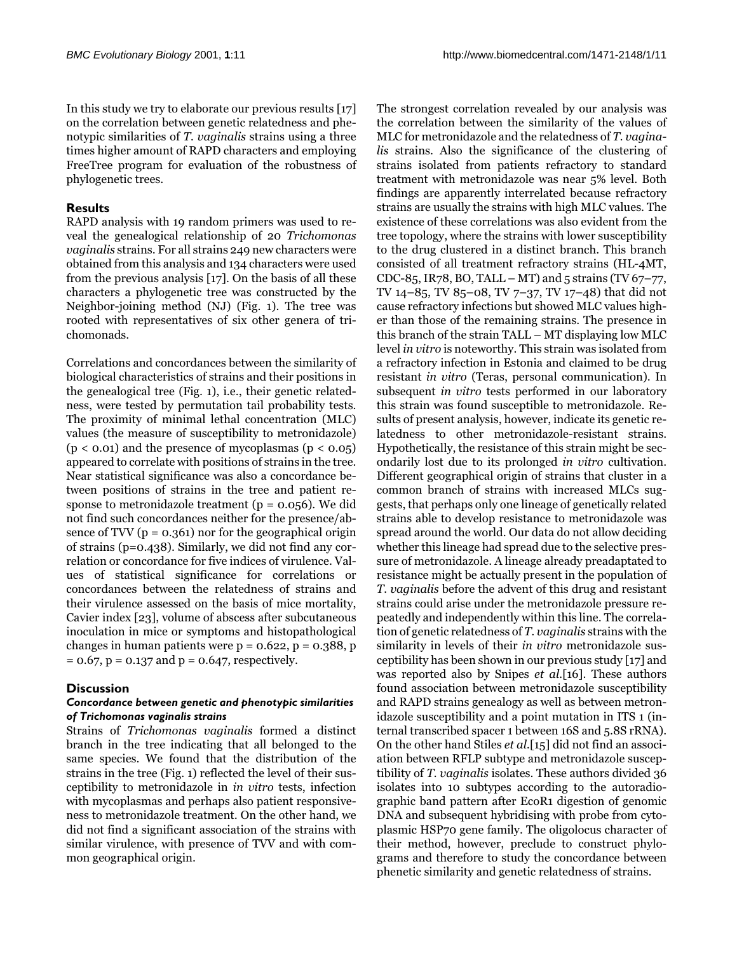In this study we try to elaborate our previous results [\[17](#page-8-15)] on the correlation between genetic relatedness and phenotypic similarities of T. vaginalis strains using a three times higher amount of RAPD characters and employing FreeTree program for evaluation of the robustness of phylogenetic trees.

## **Results**

RAPD analysis with 19 random primers was used to reveal the genealogical relationship of 20 Trichomonas vaginalis strains. For all strains 249 new characters were obtained from this analysis and 134 characters were used from the previous analysis [\[17](#page-8-15)]. On the basis of all these characters a phylogenetic tree was constructed by the Neighbor-joining method (NJ) (Fig. [1\)](#page-1-0). The tree was rooted with representatives of six other genera of trichomonads.

Correlations and concordances between the similarity of biological characteristics of strains and their positions in the genealogical tree (Fig. [1](#page-1-0)), i.e., their genetic relatedness, were tested by permutation tail probability tests. The proximity of minimal lethal concentration (MLC) values (the measure of susceptibility to metronidazole)  $(p < 0.01)$  and the presence of mycoplasmas  $(p < 0.05)$ appeared to correlate with positions of strains in the tree. Near statistical significance was also a concordance between positions of strains in the tree and patient response to metronidazole treatment ( $p = 0.056$ ). We did not find such concordances neither for the presence/absence of TVV ( $p = 0.361$ ) nor for the geographical origin of strains (p=0.438). Similarly, we did not find any correlation or concordance for five indices of virulence. Values of statistical significance for correlations or concordances between the relatedness of strains and their virulence assessed on the basis of mice mortality, Cavier index [\[23\]](#page-8-19), volume of abscess after subcutaneous inoculation in mice or symptoms and histopathological changes in human patients were  $p = 0.622$ ,  $p = 0.388$ , p  $= 0.67$ ,  $p = 0.137$  and  $p = 0.647$ , respectively.

## **Discussion**

# *Concordance between genetic and phenotypic similarities of Trichomonas vaginalis strains*

Strains of Trichomonas vaginalis formed a distinct branch in the tree indicating that all belonged to the same species. We found that the distribution of the strains in the tree (Fig. [1\)](#page-1-0) reflected the level of their susceptibility to metronidazole in in vitro tests, infection with mycoplasmas and perhaps also patient responsiveness to metronidazole treatment. On the other hand, we did not find a significant association of the strains with similar virulence, with presence of TVV and with common geographical origin.

The strongest correlation revealed by our analysis was the correlation between the similarity of the values of MLC for metronidazole and the relatedness of T. vaginalis strains. Also the significance of the clustering of strains isolated from patients refractory to standard treatment with metronidazole was near 5% level. Both findings are apparently interrelated because refractory strains are usually the strains with high MLC values. The existence of these correlations was also evident from the tree topology, where the strains with lower susceptibility to the drug clustered in a distinct branch. This branch consisted of all treatment refractory strains (HL-4MT, CDC-85, IR78, BO, TALL – MT) and  $5$  strains (TV 67–77, TV 14–85, TV 85–08, TV 7–37, TV 17–48) that did not cause refractory infections but showed MLC values higher than those of the remaining strains. The presence in this branch of the strain TALL – MT displaying low MLC level in vitro is noteworthy. This strain was isolated from a refractory infection in Estonia and claimed to be drug resistant in vitro (Teras, personal communication). In subsequent *in vitro* tests performed in our laboratory this strain was found susceptible to metronidazole. Results of present analysis, however, indicate its genetic relatedness to other metronidazole-resistant strains. Hypothetically, the resistance of this strain might be secondarily lost due to its prolonged in vitro cultivation. Different geographical origin of strains that cluster in a common branch of strains with increased MLCs suggests, that perhaps only one lineage of genetically related strains able to develop resistance to metronidazole was spread around the world. Our data do not allow deciding whether this lineage had spread due to the selective pressure of metronidazole. A lineage already preadaptated to resistance might be actually present in the population of T. vaginalis before the advent of this drug and resistant strains could arise under the metronidazole pressure repeatedly and independently within this line. The correlation of genetic relatedness of T. vaginalis strains with the similarity in levels of their in vitro metronidazole susceptibility has been shown in our previous study [\[17](#page-8-15)] and was reported also by Snipes et al.[\[16\]](#page-8-14). These authors found association between metronidazole susceptibility and RAPD strains genealogy as well as between metronidazole susceptibility and a point mutation in ITS 1 (internal transcribed spacer 1 between 16S and 5.8S rRNA). On the other hand Stiles et al.[\[15](#page-8-13)] did not find an association between RFLP subtype and metronidazole susceptibility of T. vaginalis isolates. These authors divided 36 isolates into 10 subtypes according to the autoradiographic band pattern after EcoR1 digestion of genomic DNA and subsequent hybridising with probe from cytoplasmic HSP70 gene family. The oligolocus character of their method, however, preclude to construct phylograms and therefore to study the concordance between phenetic similarity and genetic relatedness of strains.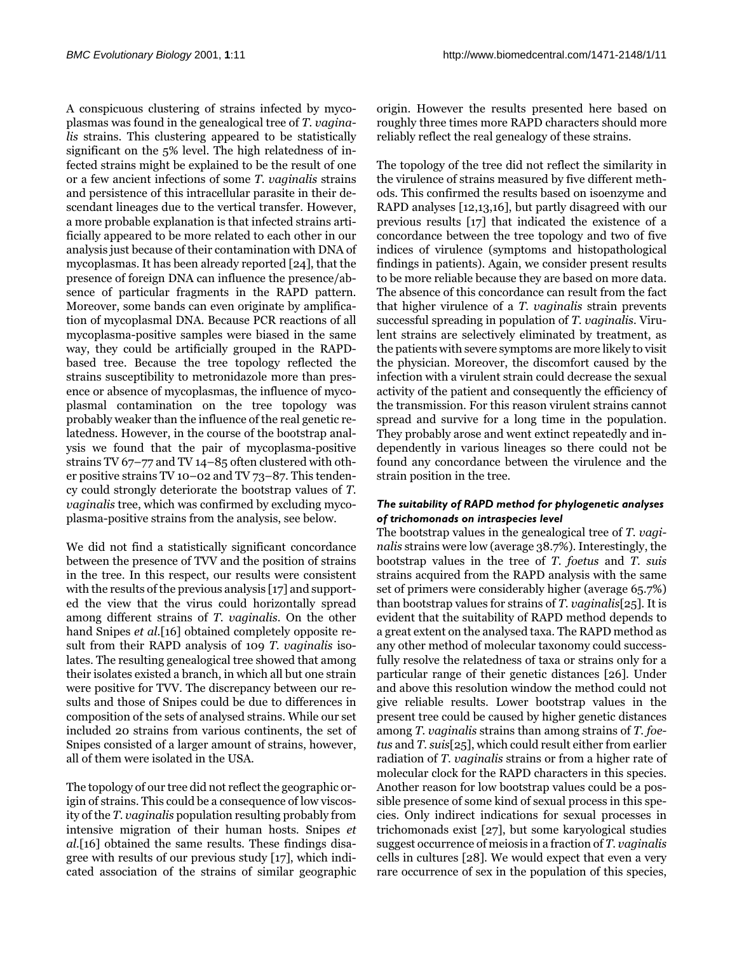A conspicuous clustering of strains infected by mycoplasmas was found in the genealogical tree of T. vaginalis strains. This clustering appeared to be statistically significant on the 5% level. The high relatedness of infected strains might be explained to be the result of one or a few ancient infections of some T. vaginalis strains and persistence of this intracellular parasite in their descendant lineages due to the vertical transfer. However, a more probable explanation is that infected strains artificially appeared to be more related to each other in our analysis just because of their contamination with DNA of mycoplasmas. It has been already reported [[24\]](#page-8-20), that the presence of foreign DNA can influence the presence/absence of particular fragments in the RAPD pattern. Moreover, some bands can even originate by amplification of mycoplasmal DNA. Because PCR reactions of all mycoplasma-positive samples were biased in the same way, they could be artificially grouped in the RAPDbased tree. Because the tree topology reflected the strains susceptibility to metronidazole more than presence or absence of mycoplasmas, the influence of mycoplasmal contamination on the tree topology was probably weaker than the influence of the real genetic relatedness. However, in the course of the bootstrap analysis we found that the pair of mycoplasma-positive strains TV 67–77 and TV 14–85 often clustered with other positive strains TV 10–02 and TV 73–87. This tendency could strongly deteriorate the bootstrap values of T. vaginalis tree, which was confirmed by excluding mycoplasma-positive strains from the analysis, see below.

We did not find a statistically significant concordance between the presence of TVV and the position of strains in the tree. In this respect, our results were consistent with the results of the previous analysis [\[17](#page-8-15)] and supported the view that the virus could horizontally spread among different strains of T. vaginalis. On the other hand Snipes *et al.*[\[16\]](#page-8-14) obtained completely opposite result from their RAPD analysis of 109 T. vaginalis isolates. The resulting genealogical tree showed that among their isolates existed a branch, in which all but one strain were positive for TVV. The discrepancy between our results and those of Snipes could be due to differences in composition of the sets of analysed strains. While our set included 20 strains from various continents, the set of Snipes consisted of a larger amount of strains, however, all of them were isolated in the USA.

The topology of our tree did not reflect the geographic origin of strains. This could be a consequence of low viscosity of the T. vaginalis population resulting probably from intensive migration of their human hosts. Snipes et al.[[16](#page-8-14)] obtained the same results. These findings disagree with results of our previous study [[17\]](#page-8-15), which indicated association of the strains of similar geographic origin. However the results presented here based on roughly three times more RAPD characters should more reliably reflect the real genealogy of these strains.

The topology of the tree did not reflect the similarity in the virulence of strains measured by five different methods. This confirmed the results based on isoenzyme and RAPD analyses [[12,](#page-8-10)[13](#page-8-11)[,16](#page-8-14)], but partly disagreed with our previous results [\[17](#page-8-15)] that indicated the existence of a concordance between the tree topology and two of five indices of virulence (symptoms and histopathological findings in patients). Again, we consider present results to be more reliable because they are based on more data. The absence of this concordance can result from the fact that higher virulence of a T. vaginalis strain prevents successful spreading in population of T. vaginalis. Virulent strains are selectively eliminated by treatment, as the patients with severe symptoms are more likely to visit the physician. Moreover, the discomfort caused by the infection with a virulent strain could decrease the sexual activity of the patient and consequently the efficiency of the transmission. For this reason virulent strains cannot spread and survive for a long time in the population. They probably arose and went extinct repeatedly and independently in various lineages so there could not be found any concordance between the virulence and the strain position in the tree.

# *The suitability of RAPD method for phylogenetic analyses of trichomonads on intraspecies level*

The bootstrap values in the genealogical tree of T. vaginalis strains were low (average 38.7%). Interestingly, the bootstrap values in the tree of T. foetus and T. suis strains acquired from the RAPD analysis with the same set of primers were considerably higher (average 65.7%) than bootstrap values for strains of T. vaginalis[[25](#page-8-21)]. It is evident that the suitability of RAPD method depends to a great extent on the analysed taxa. The RAPD method as any other method of molecular taxonomy could successfully resolve the relatedness of taxa or strains only for a particular range of their genetic distances [[26\]](#page-8-22). Under and above this resolution window the method could not give reliable results. Lower bootstrap values in the present tree could be caused by higher genetic distances among T. vaginalis strains than among strains of T. foetus and T. suis[\[25](#page-8-21)], which could result either from earlier radiation of T. vaginalis strains or from a higher rate of molecular clock for the RAPD characters in this species. Another reason for low bootstrap values could be a possible presence of some kind of sexual process in this species. Only indirect indications for sexual processes in trichomonads exist [[27\]](#page-8-23), but some karyological studies suggest occurrence of meiosis in a fraction of T. vaginalis cells in cultures [[28\]](#page-8-24). We would expect that even a very rare occurrence of sex in the population of this species,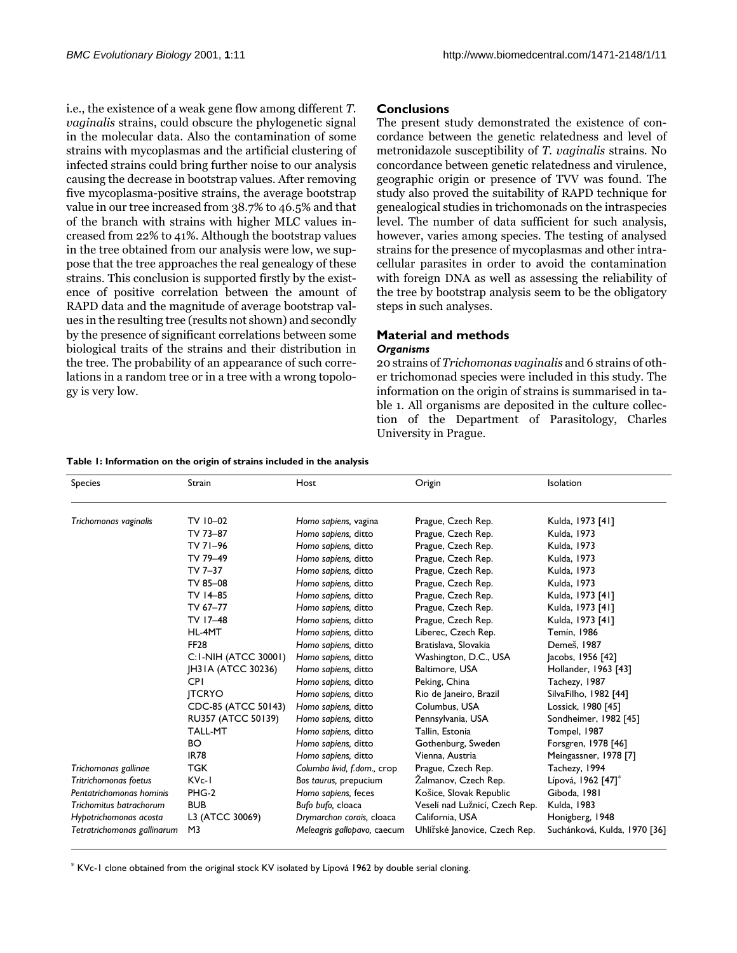i.e., the existence of a weak gene flow among different T. vaginalis strains, could obscure the phylogenetic signal in the molecular data. Also the contamination of some strains with mycoplasmas and the artificial clustering of infected strains could bring further noise to our analysis causing the decrease in bootstrap values. After removing five mycoplasma-positive strains, the average bootstrap value in our tree increased from 38.7% to 46.5% and that of the branch with strains with higher MLC values increased from 22% to 41%. Although the bootstrap values in the tree obtained from our analysis were low, we suppose that the tree approaches the real genealogy of these strains. This conclusion is supported firstly by the existence of positive correlation between the amount of RAPD data and the magnitude of average bootstrap values in the resulting tree (results not shown) and secondly by the presence of significant correlations between some biological traits of the strains and their distribution in the tree. The probability of an appearance of such correlations in a random tree or in a tree with a wrong topology is very low.

#### **Table 1: Information on the origin of strains included in the analysis**

# Species Strain Host Origin Isolation *Trichomonas vaginalis* TV 10–02 *Homo sapiens,* vagina Prague, Czech Rep. Kulda, 1973 [[41](#page-8-25)] TV 73–87 *Homo sapiens,* ditto Prague, Czech Rep. Kulda, 1973 TV 71–96 *Homo sapiens,* ditto Prague, Czech Rep. Kulda, 1973 TV 79–49 *Homo sapiens,* ditto Prague, Czech Rep. Kulda, 1973 TV 7–37 *Homo sapiens,* ditto Prague, Czech Rep. Kulda, 1973 TV 85–08 *Homo sapiens,* ditto Prague, Czech Rep. Kulda, 1973 TV 14–85 *Homo sapiens,* ditto Prague, Czech Rep. Kulda, 1973 [[41](#page-8-25)] Homo sapiens, ditto Prague, Czech Rep. Kulda, 1973 [[41](#page-8-25)] TV 17–48 *Homo sapiens,* ditto Prague, Czech Rep. Kulda, 1973 [[41](#page-8-25)] HL-4MT *Homo sapiens,* ditto Liberec, Czech Rep. Temín, 1986 FF28 *Homo sapiens,* ditto Bratislava, Slovakia Demeš, 1987 C:1-NIH (ATCC 30001) *Homo sapiens,* ditto Washington, D.C., USA Jacobs, 1956 [[42\]](#page-8-26) JH31A (ATCC 30236) *Homo sapiens,* ditto Baltimore, USA Hollander, 1963 [[43](#page-8-27)] CP1 *Homo sapiens,* ditto Peking, China Tachezy, 1987 JTCRYO *Homo sapiens,* ditto Rio de Janeiro, Brazil SilvaFilho, 1982 [\[44\]](#page-8-28) CDC-85 (ATCC 50143) *Homo sapiens*, ditto Columbus, USA RU357 (ATCC 50139) *Homo sapiens,* ditto Pennsylvania, USA Sondheimer, 1982 [[45](#page-8-29)] TALL-MT *Homo sapiens,* ditto Tallin, Estonia Tompel, 1987 BO *Homo sapiens,* ditto Gothenburg, Sweden Forsgren, 1978 [\[46\]](#page-8-30) IR78 *Homo sapiens,* ditto Vienna, Austria Meingassner, 1978 [[7\]](#page-8-5) *Trichomonas gallinae* TGK *Columba livid, f.dom.,* crop Prague, Czech Rep. Tachezy, 1994 *Tritrichomonas foetus* KVc-1 *Bos taurus,* prepucium Žalmanov, Czech Rep. Lípová, 1962 [\[47\]](#page-9-0)\* *Pentatrichomonas hominis* PHG-2 *Homo sapiens,* feces Košice, Slovak Republic Giboda, 1981 *Trichomitus batrachorum* BUB *Bufo bufo,* cloaca Veselí nad Lužnicí, Czech Rep. Kulda, 1983 *Hypotrichomonas acosta* L3 (ATCC 30069) *Drymarchon corais,* cloaca California, USA Honigberg, 1948 *Tetratrichomonas gallinarum* M3 *Meleagris gallopavo,* caecum Uhlířské Janovice, Czech Rep. Suchánková, Kulda, 1970 [[36\]](#page-8-31)

\* KVc-1 clone obtained from the original stock KV isolated by Lípová 1962 by double serial cloning.

### **Conclusions**

The present study demonstrated the existence of concordance between the genetic relatedness and level of metronidazole susceptibility of T. vaginalis strains. No concordance between genetic relatedness and virulence, geographic origin or presence of TVV was found. The study also proved the suitability of RAPD technique for genealogical studies in trichomonads on the intraspecies level. The number of data sufficient for such analysis, however, varies among species. The testing of analysed strains for the presence of mycoplasmas and other intracellular parasites in order to avoid the contamination with foreign DNA as well as assessing the reliability of the tree by bootstrap analysis seem to be the obligatory steps in such analyses.

# **Material and methods** *Organisms*

<span id="page-4-0"></span>20 strains of Trichomonas vaginalis and 6 strains of other trichomonad species were included in this study. The information on the origin of strains is summarised in table [1](#page-4-0). All organisms are deposited in the culture collection of the Department of Parasitology, Charles University in Prague.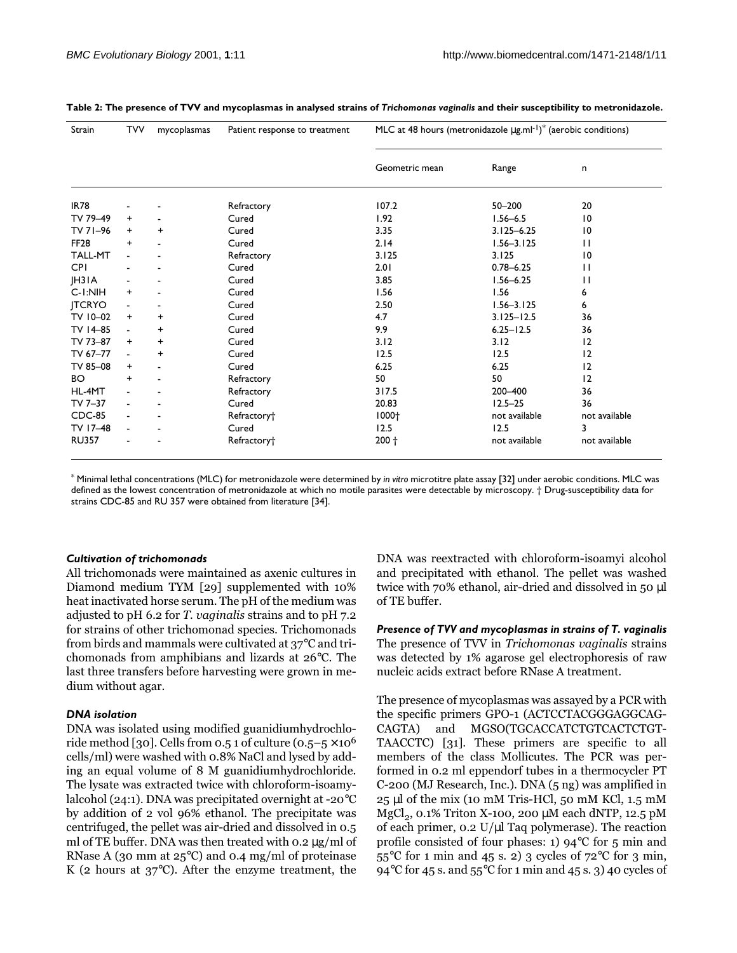| Strain           | <b>TVV</b>     | mycoplasmas | Patient response to treatment | MLC at 48 hours (metronidazole $\mu$ g.ml <sup>-1</sup> ) <sup>*</sup> (aerobic conditions) |                |                 |  |
|------------------|----------------|-------------|-------------------------------|---------------------------------------------------------------------------------------------|----------------|-----------------|--|
|                  |                |             |                               | Geometric mean                                                                              | Range          | n               |  |
| <b>IR78</b>      |                |             | Refractory                    | 107.2                                                                                       | $50 - 200$     | 20              |  |
| TV 79-49         | +              |             | Cured                         | 1.92                                                                                        | $1.56 - 6.5$   | $\overline{10}$ |  |
| TV 71-96         | +              | $\ddot{}$   | Cured                         | 3.35                                                                                        | $3.125 - 6.25$ | $\overline{10}$ |  |
| FF <sub>28</sub> | +              |             | Cured                         | 2.14                                                                                        | $1.56 - 3.125$ | $\mathbf{H}$    |  |
| <b>TALL-MT</b>   | $\blacksquare$ |             | Refractory                    | 3.125                                                                                       | 3.125          | $\overline{10}$ |  |
| <b>CPI</b>       |                |             | Cured                         | 2.01                                                                                        | $0.78 - 6.25$  | $\mathbf{H}$    |  |
| JH31A            |                |             | Cured                         | 3.85                                                                                        | $1.56 - 6.25$  | $\mathbf{H}$    |  |
| $C-I:NIH$        | +              |             | Cured                         | 1.56                                                                                        | 1.56           | 6               |  |
| <b>JTCRYO</b>    |                |             | Cured                         | 2.50                                                                                        | $1.56 - 3.125$ | 6               |  |
| TV 10-02         | $\ddot{}$      | $\ddot{}$   | Cured                         | 4.7                                                                                         | $3.125 - 12.5$ | 36              |  |
| TV 14-85         |                | $\ddot{}$   | Cured                         | 9.9                                                                                         | $6.25 - 12.5$  | 36              |  |
| TV 73-87         | $\ddot{}$      | +           | Cured                         | 3.12                                                                                        | 3.12           | 12              |  |
| TV 67-77         |                | $\ddot{}$   | Cured                         | 12.5                                                                                        | 12.5           | 12              |  |
| TV 85-08         | +              |             | Cured                         | 6.25                                                                                        | 6.25           | 12              |  |
| BO               | +              |             | Refractory                    | 50                                                                                          | 50             | 12              |  |
| HL-4MT           |                |             | Refractory                    | 317.5                                                                                       | 200-400        | 36              |  |
| TV 7-37          |                |             | Cured                         | 20.83                                                                                       | $12.5 - 25$    | 36              |  |
| $CDC-85$         |                |             | Refractory <sup>+</sup>       | $1000 +$                                                                                    | not available  | not available   |  |
| TV 17-48         |                |             | Cured                         | 12.5                                                                                        | 12.5           | 3               |  |
| <b>RU357</b>     |                |             | Refractory†                   | $200 +$                                                                                     | not available  | not available   |  |

|  |  |  |  |  | Table 2: The presence of TVV and mycoplasmas in analysed strains of Trichomonas vaginalis and their susceptibility to metronidazole. |
|--|--|--|--|--|--------------------------------------------------------------------------------------------------------------------------------------|
|--|--|--|--|--|--------------------------------------------------------------------------------------------------------------------------------------|

\* Minimal lethal concentrations (MLC) for metronidazole were determined by *in vitro* microtitre plate assay [\[32](#page-8-35)] under aerobic conditions. MLC was defined as the lowest concentration of metronidazole at which no motile parasites were detectable by microscopy. † Drug-susceptibility data for strains CDC-85 and RU 357 were obtained from literature [[34\]](#page-8-36).

#### *Cultivation of trichomonads*

All trichomonads were maintained as axenic cultures in Diamond medium TYM [[29\]](#page-8-32) supplemented with 10% heat inactivated horse serum. The pH of the medium was adjusted to pH 6.2 for T. vaginalis strains and to pH 7.2 for strains of other trichomonad species. Trichomonads from birds and mammals were cultivated at 37°C and trichomonads from amphibians and lizards at 26°C. The last three transfers before harvesting were grown in medium without agar.

## *DNA isolation*

DNA was isolated using modified guanidiumhydrochlo-ride method [\[30](#page-8-33)]. Cells from 0.5 1 of culture  $(0.5-5 \times 10^6$ cells/ml) were washed with 0.8% NaCl and lysed by adding an equal volume of 8 M guanidiumhydrochloride. The lysate was extracted twice with chloroform-isoamylalcohol (24:1). DNA was precipitated overnight at -20°C by addition of 2 vol 96% ethanol. The precipitate was centrifuged, the pellet was air-dried and dissolved in 0.5 ml of TE buffer. DNA was then treated with 0.2  $\mu$ g/ml of RNase A (30 mm at  $25^{\circ}$ C) and 0.4 mg/ml of proteinase K (2 hours at 37°C). After the enzyme treatment, the DNA was reextracted with chloroform-isoamyi alcohol and precipitated with ethanol. The pellet was washed twice with 70% ethanol, air-dried and dissolved in 50 µl of TE buffer.

<span id="page-5-0"></span>*Presence of TVV and mycoplasmas in strains of T. vaginalis* The presence of TVV in Trichomonas vaginalis strains was detected by 1% agarose gel electrophoresis of raw nucleic acids extract before RNase A treatment.

The presence of mycoplasmas was assayed by a PCR with the specific primers GPO-1 (ACTCCTACGGGAGGCAG-CAGTA) and MGSO(TGCACCATCTGTCACTCTGT-TAACCTC) [\[31\]](#page-8-34). These primers are specific to all members of the class Mollicutes. The PCR was performed in 0.2 ml eppendorf tubes in a thermocycler PT C-200 (MJ Research, Inc.). DNA (5 ng) was amplified in 25 µl of the mix (10 mM Tris-HCl, 50 mM KCl, 1.5 mM  $MgCl<sub>2</sub>$ , 0.1% Triton X-100, 200 µM each dNTP, 12.5 pM of each primer,  $0.2$  U/ $\mu$ l Taq polymerase). The reaction profile consisted of four phases: 1) 94°C for 5 min and  $55^{\circ}$ C for 1 min and 45 s. 2) 3 cycles of  $72^{\circ}$ C for 3 min, 94 °C for 45 s. and  $55$ °C for 1 min and 45 s. 3) 40 cycles of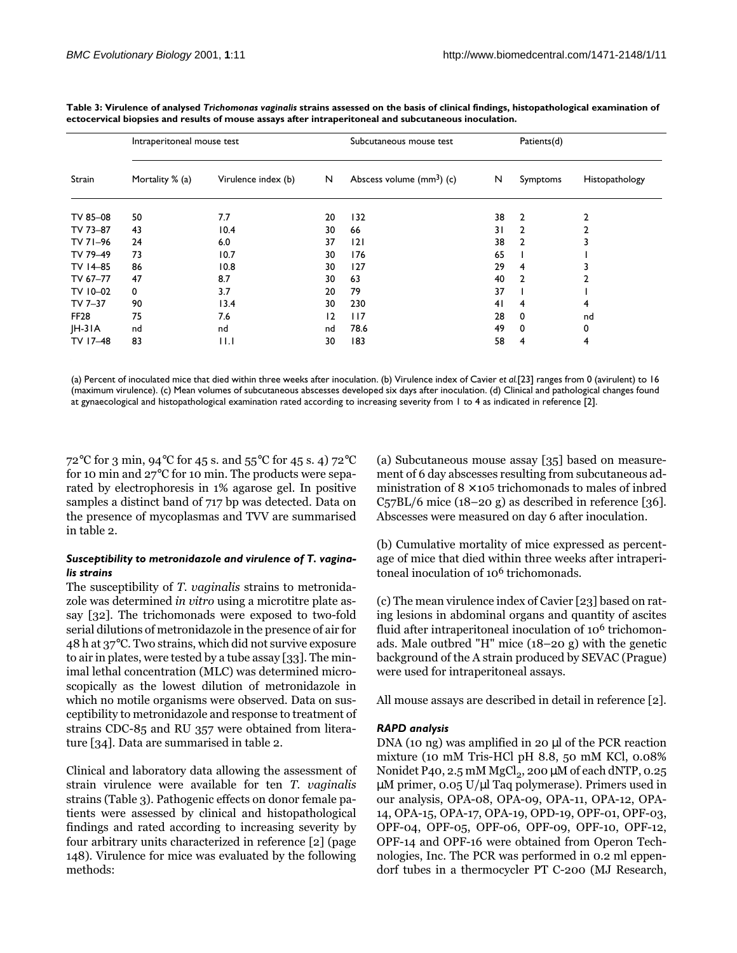|                  | Intraperitoneal mouse test |                     |    | Subcutaneous mouse test    | Patients(d) |                |                |
|------------------|----------------------------|---------------------|----|----------------------------|-------------|----------------|----------------|
| Strain           | Mortality % (a)            | Virulence index (b) | N  | Abscess volume $(mm3)$ (c) | N           | Symptoms       | Histopathology |
| TV 85-08         | 50                         | 7.7                 | 20 | 132                        | 38          | $\overline{2}$ | 2              |
| TV 73-87         | 43                         | 10.4                | 30 | 66                         | 31          | 2              | 2              |
| TV 71-96         | 24                         | 6.0                 | 37 | 2                          | 38          | $\overline{2}$ |                |
| TV 79-49         | 73                         | 10.7                | 30 | 176                        | 65          |                |                |
| TV 14-85         | 86                         | 10.8                | 30 | 127                        | 29          | 4              |                |
| TV 67-77         | 47                         | 8.7                 | 30 | 63                         | 40          | $\overline{2}$ |                |
| TV 10-02         | 0                          | 3.7                 | 20 | 79                         | 37          |                |                |
| TV 7-37          | 90                         | 13.4                | 30 | 230                        | 41          | 4              | 4              |
| FF <sub>28</sub> | 75                         | 7.6                 | 12 | 117                        | 28          | 0              | nd             |
| $ H-3 A$         | nd                         | nd                  | nd | 78.6                       | 49          | 0              | 0              |
| TV 17-48         | 83                         | 11.1                | 30 | 183                        | 58          | 4              | 4              |

**Table 3: Virulence of analysed** *Trichomonas vaginalis* **strains assessed on the basis of clinical findings, histopathological examination of ectocervical biopsies and results of mouse assays after intraperitoneal and subcutaneous inoculation.**

(a) Percent of inoculated mice that died within three weeks after inoculation. (b) Virulence index of Cavier *et al.*[[23\]](#page-8-19) ranges from 0 (avirulent) to 16 (maximum virulence). (c) Mean volumes of subcutaneous abscesses developed six days after inoculation. (d) Clinical and pathological changes found at gynaecological and histopathological examination rated according to increasing severity from 1 to 4 as indicated in reference [[2](#page-8-1)].

72 °C for 3 min, 94 °C for 45 s. and 55 °C for 45 s. 4) 72 °C for 10 min and 27°C for 10 min. The products were separated by electrophoresis in 1% agarose gel. In positive samples a distinct band of 717 bp was detected. Data on the presence of mycoplasmas and TVV are summarised in table [2](#page-4-0).

# *Susceptibility to metronidazole and virulence of T. vaginalis strains*

The susceptibility of T. vaginalis strains to metronidazole was determined in vitro using a microtitre plate assay [[32\]](#page-8-35). The trichomonads were exposed to two-fold serial dilutions of metronidazole in the presence of air for 48 h at 37°C. Two strains, which did not survive exposure to air in plates, were tested by a tube assay [\[33\]](#page-8-37). The minimal lethal concentration (MLC) was determined microscopically as the lowest dilution of metronidazole in which no motile organisms were observed. Data on susceptibility to metronidazole and response to treatment of strains CDC-85 and RU 357 were obtained from literature [[34\]](#page-8-36). Data are summarised in table [2.](#page-4-0)

Clinical and laboratory data allowing the assessment of strain virulence were available for ten T. vaginalis strains (Table [3\)](#page-5-0). Pathogenic effects on donor female patients were assessed by clinical and histopathological findings and rated according to increasing severity by four arbitrary units characterized in reference [\[2\]](#page-8-1) (page 148). Virulence for mice was evaluated by the following methods:

(a) Subcutaneous mouse assay [[35](#page-8-38)] based on measurement of 6 day abscesses resulting from subcutaneous administration of  $8 \times 10^5$  trichomonads to males of inbred  $C_{57}BL/6$  mice (18–20 g) as described in reference [[36\]](#page-8-31). Abscesses were measured on day 6 after inoculation.

(b) Cumulative mortality of mice expressed as percentage of mice that died within three weeks after intraperitoneal inoculation of 106 trichomonads.

(c) The mean virulence index of Cavier [[23\]](#page-8-19) based on rating lesions in abdominal organs and quantity of ascites fluid after intraperitoneal inoculation of 10<sup>6</sup> trichomonads. Male outbred "H" mice (18–20 g) with the genetic background of the A strain produced by SEVAC (Prague) were used for intraperitoneal assays.

All mouse assays are described in detail in reference [\[2\]](#page-8-1).

# *RAPD analysis*

DNA (10 ng) was amplified in 20 µl of the PCR reaction mixture (10 mM Tris-HCl pH 8.8, 50 mM KCl, 0.08% Nonidet P40, 2.5 mM MgCl<sub>2</sub>, 200  $\mu$ M of each dNTP, 0.25  $\mu$ M primer, 0.05 U/ $\mu$ l Taq polymerase). Primers used in our analysis, OPA-08, OPA-09, OPA-11, OPA-12, OPA-14, OPA-15, OPA-17, OPA-19, OPD-19, OPF-01, OPF-03, OPF-04, OPF-05, OPF-06, OPF-09, OPF-10, OPF-12, OPF-14 and OPF-16 were obtained from Operon Technologies, Inc. The PCR was performed in 0.2 ml eppendorf tubes in a thermocycler PT C-200 (MJ Research,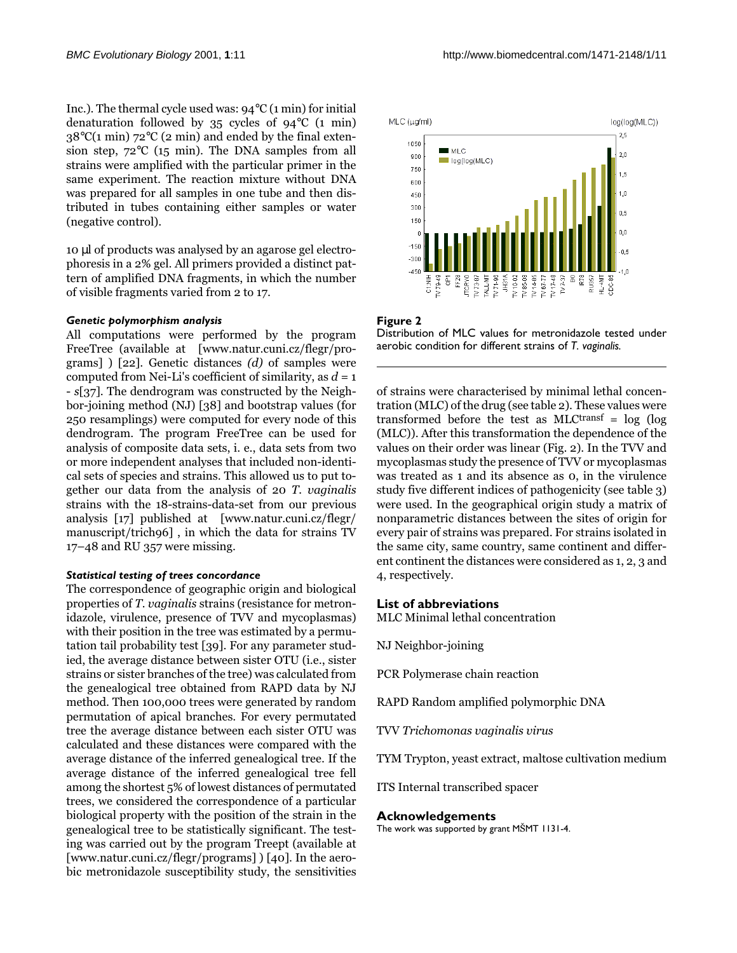Inc.). The thermal cycle used was:  $94^{\circ}C(1 \text{ min})$  for initial denaturation followed by 35 cycles of  $94^{\circ}$ C (1 min)  $38^{\circ}$ C(1 min)  $72^{\circ}$ C (2 min) and ended by the final extension step, 72°C (15 min). The DNA samples from all strains were amplified with the particular primer in the same experiment. The reaction mixture without DNA was prepared for all samples in one tube and then distributed in tubes containing either samples or water (negative control).

10 µl of products was analysed by an agarose gel electrophoresis in a 2% gel. All primers provided a distinct pattern of amplified DNA fragments, in which the number of visible fragments varied from 2 to 17.

#### *Genetic polymorphism analysis*

[All computations were performed by the program](www.natur.cuni.cz/flegr/programs) FreeTree (available at [www.natur.cuni.cz/flegr/pro[grams\] \) \[22\]. Genetic distances](www.natur.cuni.cz/flegr/programs) (d) of samples were computed from Nei-Li's coefficient of similarity, as  $d = 1$ - s[\[37\]](#page-8-39). The dendrogram was constructed by the Neighbor-joining method (NJ) [[38](#page-8-40)] and bootstrap values (for 250 resamplings) were computed for every node of this dendrogram. The program FreeTree can be used for analysis of composite data sets, i. e., data sets from two or more independent analyses that included non-identical sets of species and strains. This allowed us to put together our data from the analysis of 20 T. vaginalis [strains with the 18-strains-data-set from our previous](www.natur.cuni.cz/flegr/manuscript/trich96) analysis [[17\]](#page-8-15) published at [www.natur.cuni.cz/flegr/ manuscript/trich96] , in which the data for strains TV 17–48 and RU 357 were missing.

# *Statistical testing of trees concordance*

The correspondence of geographic origin and biological properties of T. vaginalis [strains \(resistance for metron](www.natur.cuni.cz/flegr/programs)[idazole, virulence, presence of TVV and mycoplasmas\)](www.natur.cuni.cz/flegr/programs) with their position in the tree was estimated by a permutation tail probability test [\[39\]](#page-8-41). For any parameter studied, the average distance between sister OTU (i.e., sister strains or sister branches of the tree) was calculated from the genealogical tree obtained from RAPD data by NJ method. Then 100,000 trees were generated by random permutation of apical branches. For every permutated tree the average distance between each sister OTU was calculated and these distances were compared with the average distance of the inferred genealogical tree. If the average distance of the inferred genealogical tree fell among the shortest 5% of lowest distances of permutated trees, we considered the correspondence of a particular biological property with the position of the strain in the genealogical tree to be statistically significant. The testing was carried out by the program Treept (available at [www.natur.cuni.cz/flegr/programs] ) [\[40\]](#page-8-42). In the aero[bic metronidazole susceptibility study, the sensitivities](www.natur.cuni.cz/flegr/programs)



### <span id="page-7-0"></span>**Figure 2**

Distribution of MLC values for metronidazole tested under aerobic condition for different strains of *T. vaginalis.*

of strains were characterised by minimal lethal concentration (MLC) of the drug (see table [2\)](#page-4-0). These values were transformed before the test as MLC<sup>transf</sup> =  $log$  (log (MLC)). After this transformation the dependence of the values on their order was linear (Fig. [2](#page-7-0)). In the TVV and mycoplasmas study the presence of TVV or mycoplasmas was treated as 1 and its absence as 0, in the virulence study five different indices of pathogenicity (see table [3](#page-5-0)) were used. In the geographical origin study a matrix of nonparametric distances between the sites of origin for every pair of strains was prepared. For strains isolated in the same city, same country, same continent and different continent the distances were considered as 1, 2, 3 and 4, respectively.

#### **List of abbreviations**

MLC Minimal lethal concentration

NJ Neighbor-joining

PCR Polymerase chain reaction

RAPD Random amplified polymorphic DNA

TVV Trichomonas vaginalis virus

TYM Trypton, yeast extract, maltose cultivation medium

ITS Internal transcribed spacer

#### **Acknowledgements**

The work was supported by grant MŠMT 1131-4.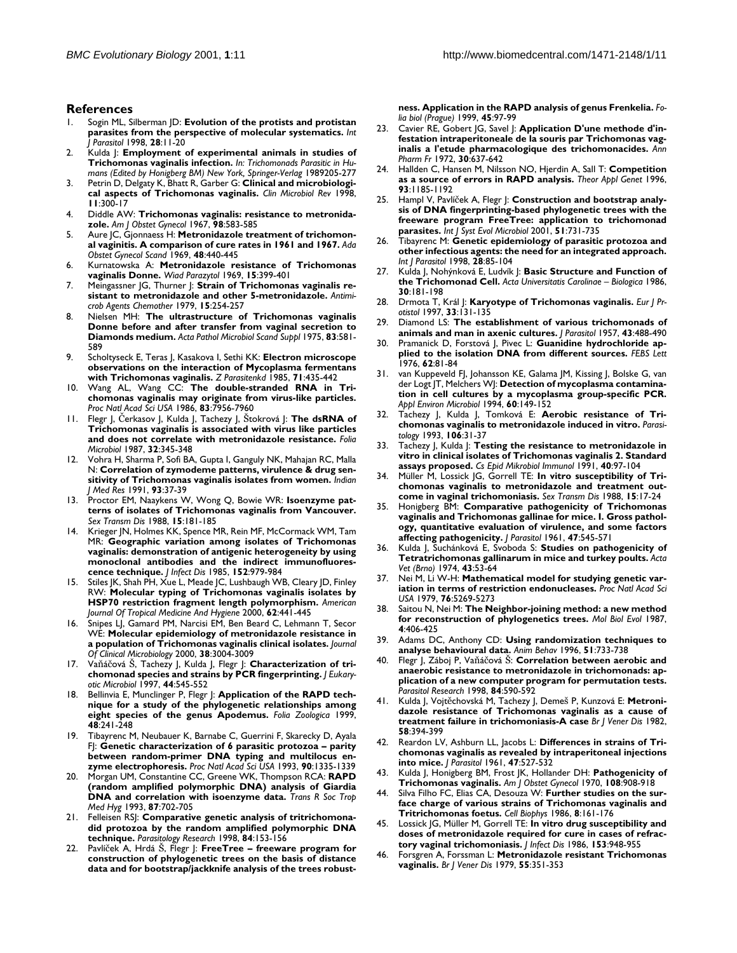#### **References**

- <span id="page-8-0"></span>1. [Sogin ML, Silberman JD:](http://www.ncbi.nlm.nih.gov/entrez/query.fcgi?cmd=Retrieve&db=PubMed&dopt=Abstract&list_uids=9504331) **Evolution of the protists and protistan parasites from the perspective of molecular systematics.** *Int J Parasitol* 1998, **28**:11-20
- <span id="page-8-1"></span>2. Kulda J: **Employment of experimental animals in studies of Trichomonas vaginalis infection.** *In: Trichomonads Parasitic in Humans (Edited by Honigberg BM) New York, Springer-Verlag* 1989205-277
- <span id="page-8-2"></span>3. [Petrin D, Delgaty K, Bhatt R, Garber G:](http://www.ncbi.nlm.nih.gov/entrez/query.fcgi?cmd=Retrieve&db=PubMed&dopt=Abstract&list_uids=9564565) **Clinical and microbiological aspects of Trichomonas vaginalis.** *Clin Microbiol Rev* 1998, **11**:300-17
- <span id="page-8-3"></span>4. [Diddle AW:](http://www.ncbi.nlm.nih.gov/entrez/query.fcgi?cmd=Retrieve&db=PubMed&dopt=Abstract&list_uids=5182244) **Trichomonas vaginalis: resistance to metronidazole.** *Am J Obstet Gynecol* 1967, **98**:583-585
- Aure JC, Gjonnaess H: Metronidazole treatment of trichomon**al vaginitis. A comparison of cure rates in 1961 and 1967.** *Ada Obstet Gynecol Scand* 1969, **48**:440-445
- <span id="page-8-4"></span>6. Kurnatowska A: **Metronidazole resistance of Trichomonas vaginalis Donne.** *Wiad Parazytol* 1969, **15**:399-401
- <span id="page-8-5"></span>7. [Meingassner JG, Thurner J:](http://www.ncbi.nlm.nih.gov/entrez/query.fcgi?cmd=Retrieve&db=PubMed&dopt=Abstract&list_uids=311617) **Strain of Trichomonas vaginalis resistant to metronidazole and other 5-metronidazole.** *Antimicrob Agents Chemother* 1979, **15**:254-257
- <span id="page-8-6"></span>8. [Nielsen MH:](http://www.ncbi.nlm.nih.gov/entrez/query.fcgi?cmd=Retrieve&db=PubMed&dopt=Abstract&list_uids=1081812) **The ultrastructure of Trichomonas vaginalis Donne before and after transfer from vaginal secretion to Diamonds medium.** *Acta Pathol Microbiol Scand Suppl* 1975, **83**:581- 589
- <span id="page-8-7"></span>9. [Scholtyseck E, Teras J, Kasakova I, Sethi KK:](http://www.ncbi.nlm.nih.gov/entrez/query.fcgi?cmd=Retrieve&db=PubMed&dopt=Abstract&list_uids=3895766) **Electron microscope observations on the interaction of Mycoplasma fermentans with Trichomonas vaginalis.** *Z Parasitenkd* 1985, **71**:435-442
- <span id="page-8-8"></span>10. [Wang AL, Wang CC:](http://www.ncbi.nlm.nih.gov/entrez/query.fcgi?cmd=Retrieve&db=PubMed&dopt=Abstract&list_uids=3489942) **The double-stranded RNA in Trichomonas vaginalis may originate from virus-like particles.** *Proc Natl Acad Sci USA* 1986, **83**:7956-7960
- <span id="page-8-9"></span>11. [Flegr J,](http://www.ncbi.nlm.nih.gov/entrez/query.fcgi?cmd=Retrieve&db=PubMed&dopt=Abstract&list_uids=3499366) Жerkasov J, Kulda J, Tachezy J, Štokrová J: **The dsRNA of Trichomonas vaginalis is associated with virus like particles and does not correlate with metronidazole resistance.** *Folia Microbiol* 1987, **32**:345-348
- <span id="page-8-10"></span>12. [Vohra H, Sharma P, Sofi BA, Gupta I, Ganguly NK, Mahajan RC, Malla](http://www.ncbi.nlm.nih.gov/entrez/query.fcgi?cmd=Retrieve&db=PubMed&dopt=Abstract&list_uids=2022400) [N:](http://www.ncbi.nlm.nih.gov/entrez/query.fcgi?cmd=Retrieve&db=PubMed&dopt=Abstract&list_uids=2022400) **Correlation of zymodeme patterns, virulence & drug sensitivity of Trichomonas vaginalis isolates from women.** *Indian J Med Res* 1991, **93**:37-39
- <span id="page-8-11"></span>13. [Proctor EM, Naaykens W, Wong Q, Bowie WR:](http://www.ncbi.nlm.nih.gov/entrez/query.fcgi?cmd=Retrieve&db=PubMed&dopt=Abstract&list_uids=3265809) **Isoenzyme patterns of isolates of Trichomonas vaginalis from Vancouver.** *Sex Transm Dis* 1988, **15**:181-185
- <span id="page-8-12"></span>14. [Krieger JN, Holmes KK, Spence MR, Rein MF, McCormack WM, Tam](http://www.ncbi.nlm.nih.gov/entrez/query.fcgi?cmd=Retrieve&db=PubMed&dopt=Abstract&list_uids=2413147) [MR:](http://www.ncbi.nlm.nih.gov/entrez/query.fcgi?cmd=Retrieve&db=PubMed&dopt=Abstract&list_uids=2413147) **Geographic variation among isolates of Trichomonas vaginalis: demonstration of antigenic heterogeneity by using monoclonal antibodies and the indirect immunofluorescence technique.** *J Infect Dis* 1985, **152**:979-984
- <span id="page-8-13"></span>15. [Stiles JK, Shah PH, Xue L, Meade JC, Lushbaugh WB, Cleary JD, Finley](http://www.ncbi.nlm.nih.gov/entrez/query.fcgi?cmd=Retrieve&db=PubMed&dopt=Abstract&list_uids=11220758) [RW:](http://www.ncbi.nlm.nih.gov/entrez/query.fcgi?cmd=Retrieve&db=PubMed&dopt=Abstract&list_uids=11220758) **Molecular typing of Trichomonas vaginalis isolates by HSP70 restriction fragment length polymorphism.** *American Journal Of Tropical Medicine And Hygiene* 2000, **62**:441-445
- <span id="page-8-14"></span>16. [Snipes LJ, Gamard PM, Narcisi EM, Ben Beard C, Lehmann T, Secor](http://www.ncbi.nlm.nih.gov/entrez/query.fcgi?cmd=Retrieve&db=PubMed&dopt=Abstract&list_uids=10921968) [WE:](http://www.ncbi.nlm.nih.gov/entrez/query.fcgi?cmd=Retrieve&db=PubMed&dopt=Abstract&list_uids=10921968) **Molecular epidemiology of metronidazole resistance in a population of Trichomonas vaginalis clinical isolates.** *Journal Of Clinical Microbiology* 2000, **38**:3004-3009
- <span id="page-8-15"></span>17. [Va](http://www.ncbi.nlm.nih.gov/entrez/query.fcgi?cmd=Retrieve&db=PubMed&dopt=Abstract&list_uids=9435127)ňáčová Š, Tachezy J, Kulda J, Flegr J: **Characterization of trichomonad species and strains by PCR fingerprinting.** *J Eukaryotic Microbiol* 1997, **44**:545-552
- <span id="page-8-16"></span>Bellinvia E, Munclinger P, Flegr J: Application of the RAPD tech**nique for a study of the phylogenetic relationships among eight species of the genus Apodemus.** *Folia Zoologica* 1999, **48**:241-248
- 19. [Tibayrenc M, Neubauer K, Barnabe C, Guerrini F, Skarecky D, Ayala](http://www.ncbi.nlm.nih.gov/entrez/query.fcgi?cmd=Retrieve&db=PubMed&dopt=Abstract&list_uids=8433991) [FJ:](http://www.ncbi.nlm.nih.gov/entrez/query.fcgi?cmd=Retrieve&db=PubMed&dopt=Abstract&list_uids=8433991) **Genetic characterization of 6 parasitic protozoa – parity between random-primer DNA typing and multilocus enzyme electrophoresis.** *Proc Natl Acad Sci USA* 1993, **90**:1335-1339
- 20. [Morgan UM, Constantine CC, Greene WK, Thompson RCA:](http://www.ncbi.nlm.nih.gov/entrez/query.fcgi?cmd=Retrieve&db=PubMed&dopt=Abstract&list_uids=8296385) **RAPD (random amplified polymorphic DNA) analysis of Giardia DNA and correlation with isoenzyme data.** *Trans R Soc Trop Med Hyg* 1993, **87**:702-705
- <span id="page-8-17"></span>21. [Felleisen RSJ:](http://www.ncbi.nlm.nih.gov/entrez/query.fcgi?cmd=Retrieve&db=PubMed&dopt=Abstract&list_uids=9493217) **Comparative genetic analysis of tritrichomonadid protozoa by the random amplified polymorphic DNA technique.** *Parasitology Research* 1998, **84**:153-156
- <span id="page-8-18"></span>Pavlíček A, Hrdá Š, Flegr J: FreeTree - freeware program for **construction of phylogenetic trees on the basis of distance data and for bootstrap/jackknife analysis of the trees robust-**

**ness. Application in the RAPD analysis of genus Frenkelia.** *Folia biol (Prague)* 1999, **45**:97-99

- <span id="page-8-19"></span>23. [Cavier RE, Gobert JG, Savel J:](http://www.ncbi.nlm.nih.gov/entrez/query.fcgi?cmd=Retrieve&db=PubMed&dopt=Abstract&list_uids=4541136) **Application D'une methode d'infestation intraperitoneale de la souris par Trichomonas vaginalis a l'etude pharmacologique des trichomonacides.** *Ann Pharm Fr* 1972, **30**:637-642
- <span id="page-8-20"></span>24. Hallden C, Hansen M, Nilsson NO, Hjerdin A, Sall T: **Competition as a source of errors in RAPD analysis.** *Theor Appl Genet* 1996, **93**:1185-1192
- <span id="page-8-21"></span>25. [Hampl V, Pavlí](http://www.ncbi.nlm.nih.gov/entrez/query.fcgi?cmd=Retrieve&db=PubMed&dopt=Abstract&list_uids=11411692)ček A, Flegr J: **Construction and bootstrap analysis of DNA fingerprinting-based phylogenetic trees with the freeware program FreeTree: application to trichomonad parasites.** *Int J Syst Evol Microbiol* 2001, **51**:731-735
- <span id="page-8-22"></span>26. [Tibayrenc M:](http://www.ncbi.nlm.nih.gov/entrez/query.fcgi?cmd=Retrieve&db=PubMed&dopt=Abstract&list_uids=9504337) **Genetic epidemiology of parasitic protozoa and other infectious agents: the need for an integrated approach.** *Int J Parasitol* 1998, **28**:85-104
- <span id="page-8-23"></span>27. Kulda J, Nohýnková E, Ludvík J: **Basic Structure and Function of the Trichomonad Cell.** *Acta Universitatis Carolinae – Biologica* 1986, **30**:181-198
- <span id="page-8-24"></span>28. Drmota T, Král J: **Karyotype of Trichomonas vaginalis.** *Eur J Protistol* 1997, **33**:131-135
- <span id="page-8-32"></span>29. Diamond LS: **The establishment of various trichomonads of animals and man in axenic cultures.** *J Parasitol* 1957, **43**:488-490
- <span id="page-8-33"></span>30. [Pramanick D, Forstová J, Pivec L:](http://www.ncbi.nlm.nih.gov/entrez/query.fcgi?cmd=Retrieve&db=PubMed&dopt=Abstract&list_uids=2505) **Guanidine hydrochloride applied to the isolation DNA from different sources.** *FEBS Lett* 1976, **62**:81-84
- <span id="page-8-34"></span>van Kuppeveld FJ, Johansson KE, Galama JM, Kissing J, Bolske G, van [der Logt JT, Melchers WJ:](http://www.ncbi.nlm.nih.gov/entrez/query.fcgi?cmd=Retrieve&db=PubMed&dopt=Abstract&list_uids=7509584) **Detection of mycoplasma contamination in cell cultures by a mycoplasma group-specific PCR.** *Appl Environ Microbiol* 1994, **60**:149-152
- <span id="page-8-35"></span>32. [Tachezy J, Kulda J, Tomková E:](http://www.ncbi.nlm.nih.gov/entrez/query.fcgi?cmd=Retrieve&db=PubMed&dopt=Abstract&list_uids=8479798) **Aerobic resistance of Trichomonas vaginalis to metronidazole induced in vitro.** *Parasitology* 1993, **106**:31-37
- <span id="page-8-37"></span>33. Tachezy J, Kulda J: **Testing the resistance to metronidazole in vitro in clinical isolates of Trichomonas vaginalis 2. Standard assays proposed.** *Cs Epid Mikrobiol Immunol* 1991, **40**:97-104
- <span id="page-8-36"></span>34. [Müller M, Lossick JG, Gorrell TE:](http://www.ncbi.nlm.nih.gov/entrez/query.fcgi?cmd=Retrieve&db=PubMed&dopt=Abstract&list_uids=3258675) **In vitro susceptibility of Trichomonas vaginalis to metronidazole and treatment outcome in vaginal trichomoniasis.** *Sex Transm Dis* 1988, **15**:17-24
- <span id="page-8-38"></span>35. Honigberg BM: **Comparative pathogenicity of Trichomonas vaginalis and Trichomonas gallinae for mice. I. Gross pathology, quantitative evaluation of virulence, and some factors affecting pathogenicity.** *J Parasitol* 1961, **47**:545-571
- <span id="page-8-31"></span>36. Kulda J, Suchánková E, Svoboda S: **Studies on pathogenicity of Tetratrichomonas gallinarum in mice and turkey poults.** *Acta Vet (Brno)* 1974, **43**:53-64
- <span id="page-8-39"></span>37. [Nei M, Li W-H:](http://www.ncbi.nlm.nih.gov/entrez/query.fcgi?cmd=Retrieve&db=PubMed&dopt=Abstract&list_uids=291943) **Mathematical model for studying genetic variation in terms of restriction endonucleases.** *Proc Natl Acad Sci USA* 1979, **76**:5269-5273
- <span id="page-8-40"></span>38. [Saitou N, Nei M:](http://www.ncbi.nlm.nih.gov/entrez/query.fcgi?cmd=Retrieve&db=PubMed&dopt=Abstract&list_uids=3447015) **The Neighbor-joining method: a new method for reconstruction of phylogenetics trees.** *Mol Biol Evol* 1987, **4**:406-425
- <span id="page-8-41"></span>39. Adams DC, Anthony CD: **Using randomization techniques to analyse behavioural data.** *Anim Behav* 1996, **51**:733-738
- <span id="page-8-42"></span>40. [Flegr J, Záboj P, Va](http://www.ncbi.nlm.nih.gov/entrez/query.fcgi?cmd=Retrieve&db=PubMed&dopt=Abstract&list_uids=9694378)ňáčová Š: **Correlation between aerobic and anaerobic resistance to metronidazole in trichomonads: application of a new computer program for permutation tests.** *Parasitol Research* 1998, **84**:590-592
- <span id="page-8-25"></span>41. [Kulda J, Vojt](http://www.ncbi.nlm.nih.gov/entrez/query.fcgi?cmd=Retrieve&db=PubMed&dopt=Abstract&list_uids=6983379)ěchovská M, Tachezy J, Demeš P, Kunzová E: Metroni**dazole resistance of Trichomonas vaginalis as a cause of treatment failure in trichomoniasis-A case** *Br J Vener Dis* 1982, **58**:394-399
- <span id="page-8-26"></span>42. Reardon LV, Ashburn LL, Jacobs L: **Differences in strains of Trichomonas vaginalis as revealed by intraperitoneal injections into mice.** *J Parasitol* 1961, **47**:527-532
- <span id="page-8-27"></span>43. [Kulda J, Honigberg BM, Frost JK, Hollander DH:](http://www.ncbi.nlm.nih.gov/entrez/query.fcgi?cmd=Retrieve&db=PubMed&dopt=Abstract&list_uids=5486482) **Pathogenicity of Trichomonas vaginalis.** *Am J Obstet Gynecol* 1970, **108**:908-918
- <span id="page-8-28"></span>Silva Filho FC, Elias CA, Desouza W: Further studies on the sur**face charge of various strains of Trichomonas vaginalis and Tritrichomonas foetus.** *Cell Biophys* 1986, **8**:161-176
- <span id="page-8-29"></span>45. [Lossick JG, Müller M, Gorrell TE:](http://www.ncbi.nlm.nih.gov/entrez/query.fcgi?cmd=Retrieve&db=PubMed&dopt=Abstract&list_uids=3486237) **In vitro drug susceptibility and doses of metronidazole required for cure in cases of refractory vaginal trichomoniasis.** *J Infect Dis* 1986, **153**:948-955
- <span id="page-8-30"></span>46. [Forsgren A, Forssman L:](http://www.ncbi.nlm.nih.gov/entrez/query.fcgi?cmd=Retrieve&db=PubMed&dopt=Abstract&list_uids=315809) **Metronidazole resistant Trichomonas vaginalis.** *Br J Vener Dis* 1979, **55**:351-353